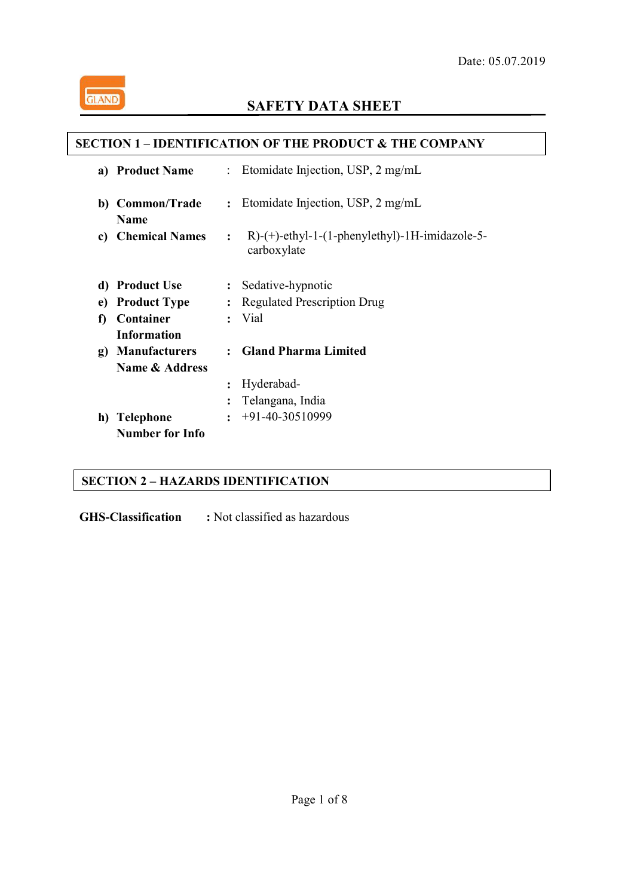

ֺ

# **SAFETY DATA SHEET**

## **SECTION 1 – IDENTIFICATION OF THE PRODUCT & THE COMPANY**

| a) | <b>Product Name</b>              |                | : Etomidate Injection, USP, $2 \text{ mg/mL}$                               |
|----|----------------------------------|----------------|-----------------------------------------------------------------------------|
|    | b) Common/Trade                  | $\ddot{\cdot}$ | Etomidate Injection, USP, 2 mg/mL                                           |
|    | <b>Name</b><br>c) Chemical Names | $\ddot{\cdot}$ | $R$ - $(+)$ -ethyl-1- $(1$ -phenylethyl $)$ -1H-imidazole-5-<br>carboxylate |
|    | d) Product Use                   | $\ddot{\cdot}$ | Sedative-hypnotic                                                           |
| e) | <b>Product Type</b>              | $\ddot{\cdot}$ | <b>Regulated Prescription Drug</b>                                          |
| f) | Container                        | $\ddot{\cdot}$ | Vial                                                                        |
|    | <b>Information</b>               |                |                                                                             |
| g) | <b>Manufacturers</b>             |                | <b>Gland Pharma Limited</b>                                                 |
|    | Name & Address                   |                |                                                                             |
|    |                                  | $\ddot{\cdot}$ | Hyderabad-                                                                  |
|    |                                  | $\ddot{\cdot}$ | Telangana, India                                                            |
| h) | <b>Telephone</b>                 | $\ddot{\cdot}$ | $+91-40-30510999$                                                           |
|    | <b>Number for Info</b>           |                |                                                                             |

# **SECTION 2 – HAZARDS IDENTIFICATION**

**GHS-Classification :** Not classified as hazardous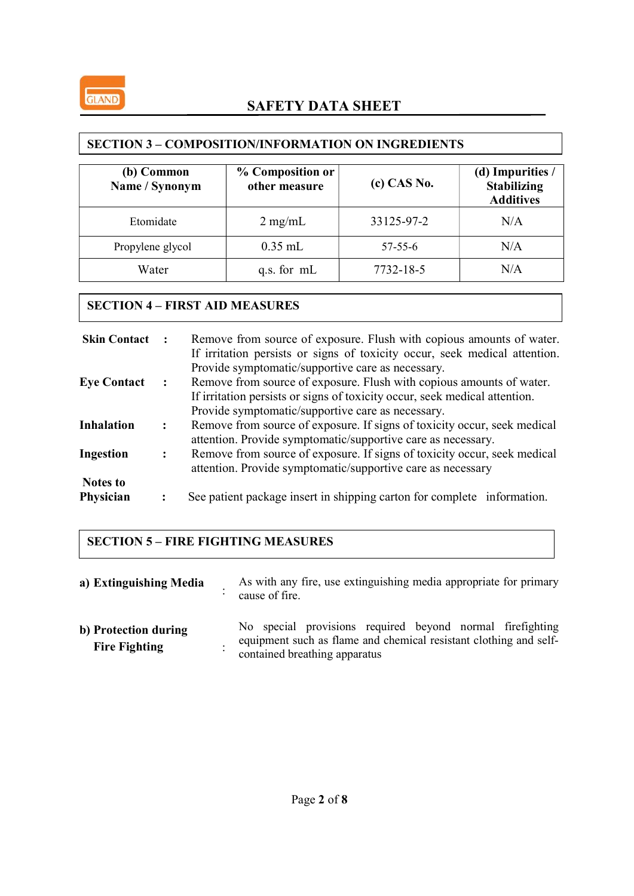| (b) Common<br>Name / Synonym | % Composition or<br>other measure | $(c)$ CAS No. | (d) Impurities /<br><b>Stabilizing</b><br><b>Additives</b> |
|------------------------------|-----------------------------------|---------------|------------------------------------------------------------|
| Etomidate                    | $2$ mg/mL                         | 33125-97-2    | N/A                                                        |
| Propylene glycol             | $0.35$ mL                         | $57 - 55 - 6$ | N/A                                                        |
| Water                        | q.s. for mL                       | 7732-18-5     | N/A                                                        |

## SECTION 3 – COMPOSITION/INFORMATION ON INGREDIENTS

## SECTION 4 – FIRST AID MEASURES

| <b>Skin Contact :</b>        |                      | Remove from source of exposure. Flush with copious amounts of water.<br>If irritation persists or signs of toxicity occur, seek medical attention.<br>Provide symptomatic/supportive care as necessary. |
|------------------------------|----------------------|---------------------------------------------------------------------------------------------------------------------------------------------------------------------------------------------------------|
| <b>Eye Contact</b>           | $\ddot{\phantom{a}}$ | Remove from source of exposure. Flush with copious amounts of water.<br>If irritation persists or signs of toxicity occur, seek medical attention.<br>Provide symptomatic/supportive care as necessary. |
| <b>Inhalation</b>            |                      | Remove from source of exposure. If signs of toxicity occur, seek medical<br>attention. Provide symptomatic/supportive care as necessary.                                                                |
| Ingestion                    |                      | Remove from source of exposure. If signs of toxicity occur, seek medical<br>attention. Provide symptomatic/supportive care as necessary                                                                 |
| <b>Notes to</b><br>Physician |                      | See patient package insert in shipping carton for complete information.                                                                                                                                 |

# SECTION 5 – FIRE FIGHTING MEASURES

| a) Extinguishing Media                       | As with any fire, use extinguishing media appropriate for primary<br>cause of fire.                                                                             |
|----------------------------------------------|-----------------------------------------------------------------------------------------------------------------------------------------------------------------|
| b) Protection during<br><b>Fire Fighting</b> | No special provisions required beyond normal firefighting<br>equipment such as flame and chemical resistant clothing and self-<br>contained breathing apparatus |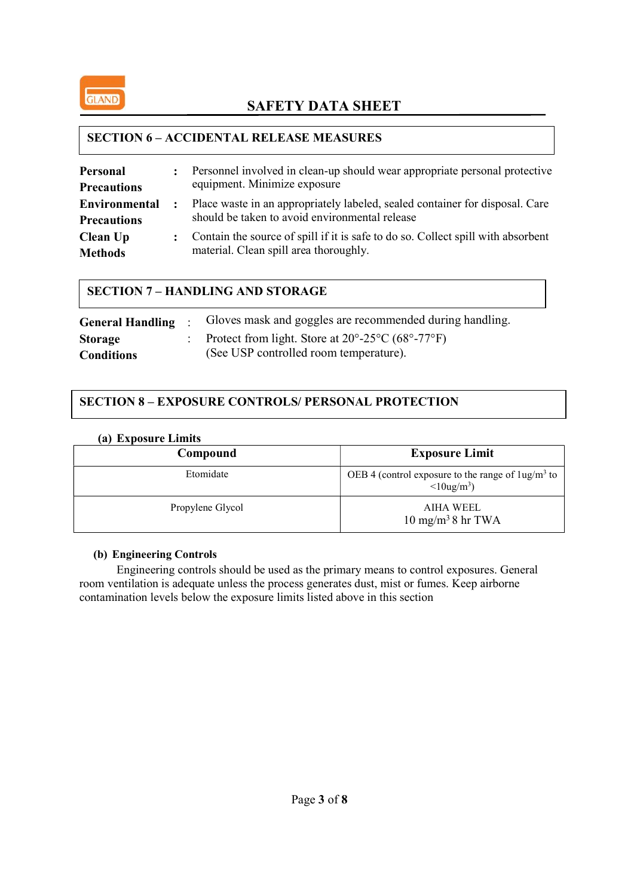

#### SECTION 6 – ACCIDENTAL RELEASE MEASURES

| Personal<br><b>Precautions</b>             | $\ddot{\cdot}$       | Personnel involved in clean-up should wear appropriate personal protective<br>equipment. Minimize exposure                     |
|--------------------------------------------|----------------------|--------------------------------------------------------------------------------------------------------------------------------|
| <b>Environmental</b><br><b>Precautions</b> | $\ddot{\phantom{a}}$ | Place waste in an appropriately labeled, sealed container for disposal. Care<br>should be taken to avoid environmental release |
| Clean Up<br><b>Methods</b>                 |                      | Contain the source of spill if it is safe to do so. Collect spill with absorbent<br>material. Clean spill area thoroughly.     |

#### SECTION 7 – HANDLING AND STORAGE

|                   | General Handling : Gloves mask and goggles are recommended during handling.                 |
|-------------------|---------------------------------------------------------------------------------------------|
| <b>Storage</b>    | Protect from light. Store at $20^{\circ}$ -25 $^{\circ}$ C (68 $^{\circ}$ -77 $^{\circ}$ F) |
| <b>Conditions</b> | (See USP controlled room temperature).                                                      |

## SECTION 8 – EXPOSURE CONTROLS/ PERSONAL PROTECTION

#### (a) Exposure Limits

| .                |                                                                                            |
|------------------|--------------------------------------------------------------------------------------------|
| Compound         | <b>Exposure Limit</b>                                                                      |
| Etomidate        | OEB 4 (control exposure to the range of $\log/m^3$ to<br>$\langle 10\text{ug/m}^3 \rangle$ |
| Propylene Glycol | AIHA WEEL<br>$10 \text{ mg/m}^3$ 8 hr TWA                                                  |

#### (b) Engineering Controls

Engineering controls should be used as the primary means to control exposures. General room ventilation is adequate unless the process generates dust, mist or fumes. Keep airborne contamination levels below the exposure limits listed above in this section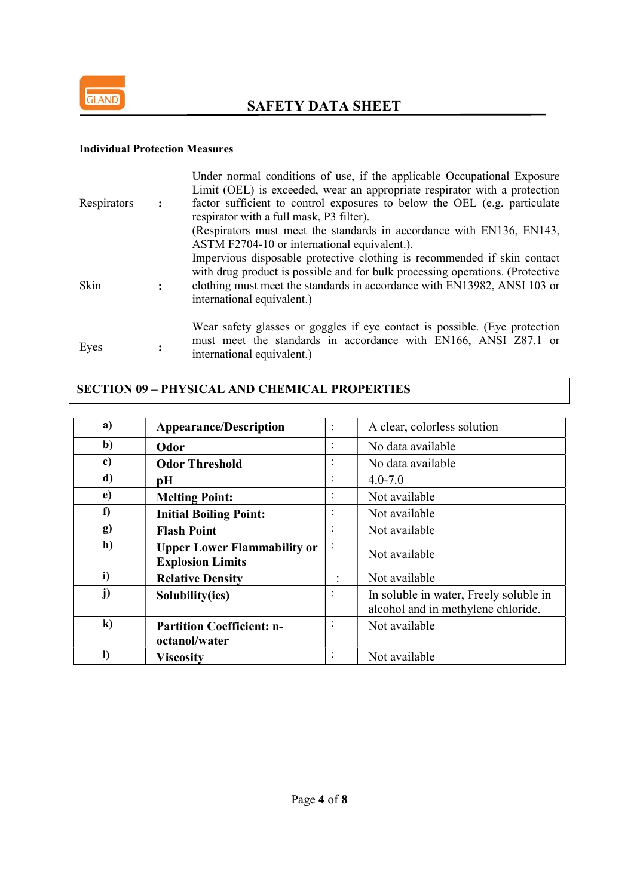

#### Individual Protection Measures

|             |                | Under normal conditions of use, if the applicable Occupational Exposure<br>Limit (OEL) is exceeded, wear an appropriate respirator with a protection                                                                                                                |
|-------------|----------------|---------------------------------------------------------------------------------------------------------------------------------------------------------------------------------------------------------------------------------------------------------------------|
| Respirators | $\ddot{\cdot}$ | factor sufficient to control exposures to below the OEL (e.g. particulate<br>respirator with a full mask, P3 filter).                                                                                                                                               |
|             |                | (Respirators must meet the standards in accordance with EN136, EN143,<br>ASTM F2704-10 or international equivalent.).                                                                                                                                               |
| Skin        | $\ddot{\cdot}$ | Impervious disposable protective clothing is recommended if skin contact<br>with drug product is possible and for bulk processing operations. (Protective<br>clothing must meet the standards in accordance with EN13982, ANSI 103 or<br>international equivalent.) |
| Eyes        |                | Wear safety glasses or goggles if eye contact is possible. (Eye protection<br>must meet the standards in accordance with EN166, ANSI Z87.1 or<br>international equivalent.)                                                                                         |

## SECTION 09 – PHYSICAL AND CHEMICAL PROPERTIES

| a)         | <b>Appearance/Description</b>                                 |                | A clear, colorless solution                                                  |
|------------|---------------------------------------------------------------|----------------|------------------------------------------------------------------------------|
| $b$        | Odor                                                          | $\cdot$        | No data available                                                            |
| c)         | <b>Odor Threshold</b>                                         | $\cdot$        | No data available                                                            |
| d)         | pН                                                            |                | $4.0 - 7.0$                                                                  |
| $\epsilon$ | <b>Melting Point:</b>                                         |                | Not available                                                                |
| f)         | <b>Initial Boiling Point:</b>                                 | $\bullet$      | Not available                                                                |
| <b>g)</b>  | <b>Flash Point</b>                                            |                | Not available                                                                |
| h)         | <b>Upper Lower Flammability or</b><br><b>Explosion Limits</b> | $\bullet$      | Not available                                                                |
| i)         | <b>Relative Density</b>                                       | $\ddot{\cdot}$ | Not available                                                                |
| j)         | Solubility(ies)                                               | $\cdot$        | In soluble in water, Freely soluble in<br>alcohol and in methylene chloride. |
| $\bf k)$   | <b>Partition Coefficient: n-</b><br>octanol/water             |                | Not available                                                                |
|            | <b>Viscosity</b>                                              |                | Not available                                                                |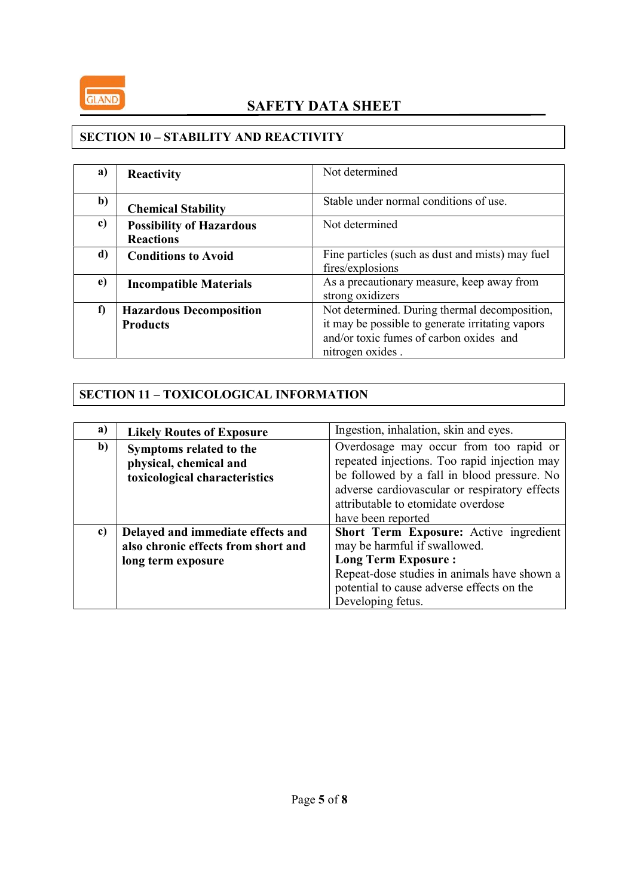

#### SECTION 10 - STABILITY AND REACTIVITY

| a) | Reactivity                      | Not determined                                   |
|----|---------------------------------|--------------------------------------------------|
|    |                                 |                                                  |
| b) | <b>Chemical Stability</b>       | Stable under normal conditions of use.           |
| c) | <b>Possibility of Hazardous</b> | Not determined                                   |
|    | <b>Reactions</b>                |                                                  |
| d) | <b>Conditions to Avoid</b>      | Fine particles (such as dust and mists) may fuel |
|    |                                 | fires/explosions                                 |
| e) | <b>Incompatible Materials</b>   | As a precautionary measure, keep away from       |
|    |                                 | strong oxidizers                                 |
| f  | <b>Hazardous Decomposition</b>  | Not determined. During thermal decomposition,    |
|    | <b>Products</b>                 | it may be possible to generate irritating vapors |
|    |                                 | and/or toxic fumes of carbon oxides and          |
|    |                                 | nitrogen oxides.                                 |

# SECTION 11 – TOXICOLOGICAL INFORMATION

| a) | <b>Likely Routes of Exposure</b>                                                   | Ingestion, inhalation, skin and eyes.                                                                                                                                                  |  |  |
|----|------------------------------------------------------------------------------------|----------------------------------------------------------------------------------------------------------------------------------------------------------------------------------------|--|--|
| b) | Symptoms related to the<br>physical, chemical and<br>toxicological characteristics | Overdosage may occur from too rapid or<br>repeated injections. Too rapid injection may<br>be followed by a fall in blood pressure. No<br>adverse cardiovascular or respiratory effects |  |  |
|    |                                                                                    | attributable to etomidate overdose<br>have been reported                                                                                                                               |  |  |
| c) | Delayed and immediate effects and                                                  | Short Term Exposure: Active ingredient                                                                                                                                                 |  |  |
|    | also chronic effects from short and                                                | may be harmful if swallowed.                                                                                                                                                           |  |  |
|    | long term exposure                                                                 | <b>Long Term Exposure:</b>                                                                                                                                                             |  |  |
|    |                                                                                    | Repeat-dose studies in animals have shown a                                                                                                                                            |  |  |
|    |                                                                                    | potential to cause adverse effects on the                                                                                                                                              |  |  |
|    |                                                                                    | Developing fetus.                                                                                                                                                                      |  |  |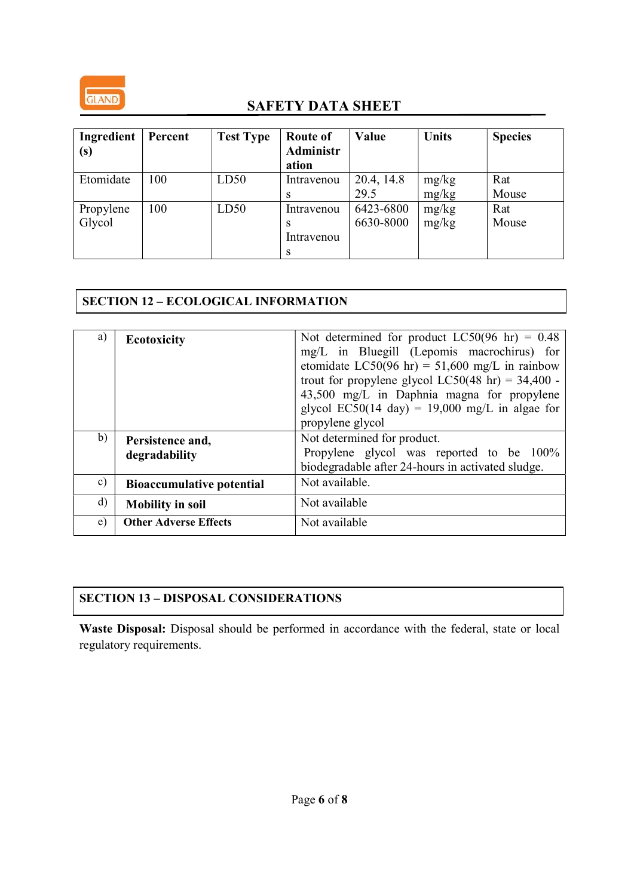

| Ingredient<br>(s)   | Percent | <b>Test Type</b> | <b>Route of</b><br><b>Administr</b><br>ation | Value                  | <b>Units</b>   | <b>Species</b> |
|---------------------|---------|------------------|----------------------------------------------|------------------------|----------------|----------------|
| Etomidate           | 100     | LD50             | Intravenou<br>S                              | 20.4, 14.8<br>29.5     | mg/kg<br>mg/kg | Rat<br>Mouse   |
| Propylene<br>Glycol | 100     | LD50             | Intravenou<br>S<br>Intravenou<br>S           | 6423-6800<br>6630-8000 | mg/kg<br>mg/kg | Rat<br>Mouse   |

# SECTION 12 – ECOLOGICAL INFORMATION

| a)            | <b>Ecotoxicity</b>                | Not determined for product LC50(96 hr) = $0.48$<br>mg/L in Bluegill (Lepomis macrochirus) for<br>etomidate LC50(96 hr) = $51,600$ mg/L in rainbow<br>trout for propylene glycol LC50(48 hr) = $34,400$ -<br>43,500 mg/L in Daphnia magna for propylene<br>glycol EC50(14 day) = 19,000 mg/L in algae for<br>propylene glycol |
|---------------|-----------------------------------|------------------------------------------------------------------------------------------------------------------------------------------------------------------------------------------------------------------------------------------------------------------------------------------------------------------------------|
| b)            | Persistence and,<br>degradability | Not determined for product.<br>Propylene glycol was reported to be 100%<br>biodegradable after 24-hours in activated sludge.                                                                                                                                                                                                 |
| $\mathbf{c})$ | <b>Bioaccumulative potential</b>  | Not available.                                                                                                                                                                                                                                                                                                               |
| $\mathbf{d}$  | <b>Mobility in soil</b>           | Not available                                                                                                                                                                                                                                                                                                                |
| e)            | <b>Other Adverse Effects</b>      | Not available                                                                                                                                                                                                                                                                                                                |

# SECTION 13 – DISPOSAL CONSIDERATIONS

Waste Disposal: Disposal should be performed in accordance with the federal, state or local regulatory requirements.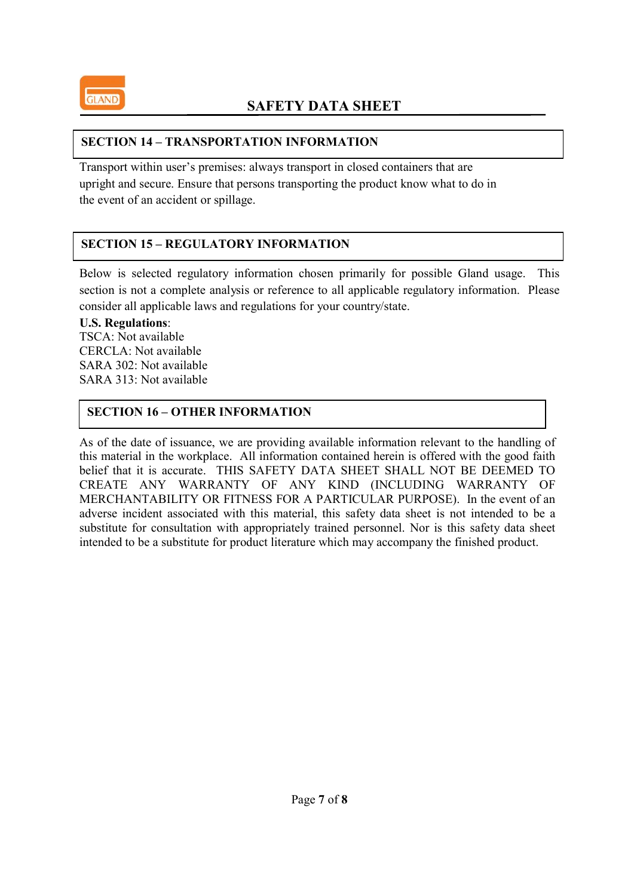

#### SECTION 14 – TRANSPORTATION INFORMATION

Transport within user's premises: always transport in closed containers that are upright and secure. Ensure that persons transporting the product know what to do in the event of an accident or spillage.

## SECTION 15 – REGULATORY INFORMATION

Below is selected regulatory information chosen primarily for possible Gland usage. This section is not a complete analysis or reference to all applicable regulatory information. Please consider all applicable laws and regulations for your country/state.

#### U.S. Regulations:

TSCA: Not available CERCLA: Not available SARA 302: Not available SARA 313: Not available

## SECTION 16 – OTHER INFORMATION

As of the date of issuance, we are providing available information relevant to the handling of this material in the workplace. All information contained herein is offered with the good faith belief that it is accurate. THIS SAFETY DATA SHEET SHALL NOT BE DEEMED TO CREATE ANY WARRANTY OF ANY KIND (INCLUDING WARRANTY OF MERCHANTABILITY OR FITNESS FOR A PARTICULAR PURPOSE). In the event of an adverse incident associated with this material, this safety data sheet is not intended to be a substitute for consultation with appropriately trained personnel. Nor is this safety data sheet intended to be a substitute for product literature which may accompany the finished product.